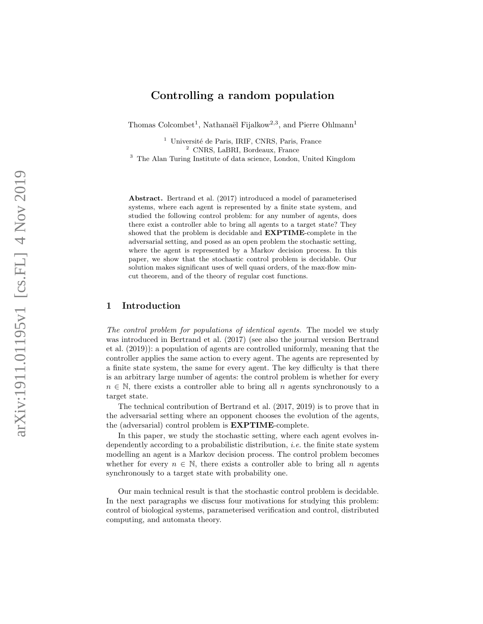## Controlling a random population

Thomas Colcombet<sup>1</sup>, Nathanaël Fijalkow<sup>2,3</sup>, and Pierre Ohlmann<sup>1</sup>

<sup>1</sup> Université de Paris, IRIF, CNRS, Paris, France <sup>2</sup> CNRS, LaBRI, Bordeaux, France

<sup>3</sup> The Alan Turing Institute of data science, London, United Kingdom

Abstract. [Bertrand et al.](#page-15-0) [\(2017\)](#page-15-0) introduced a model of parameterised systems, where each agent is represented by a finite state system, and studied the following control problem: for any number of agents, does there exist a controller able to bring all agents to a target state? They showed that the problem is decidable and EXPTIME-complete in the adversarial setting, and posed as an open problem the stochastic setting, where the agent is represented by a Markov decision process. In this paper, we show that the stochastic control problem is decidable. Our solution makes significant uses of well quasi orders, of the max-flow mincut theorem, and of the theory of regular cost functions.

## 1 Introduction

The control problem for populations of identical agents. The model we study was introduced in [Bertrand et al.](#page-15-0) [\(2017\)](#page-15-0) (see also the journal version [Bertrand](#page-15-1) [et al.](#page-15-1) [\(2019\)](#page-15-1)): a population of agents are controlled uniformly, meaning that the controller applies the same action to every agent. The agents are represented by a finite state system, the same for every agent. The key difficulty is that there is an arbitrary large number of agents: the control problem is whether for every  $n \in \mathbb{N}$ , there exists a controller able to bring all n agents synchronously to a target state.

The technical contribution of [Bertrand et al.](#page-15-0) [\(2017,](#page-15-0) [2019\)](#page-15-1) is to prove that in the adversarial setting where an opponent chooses the evolution of the agents, the (adversarial) control problem is EXPTIME-complete.

In this paper, we study the stochastic setting, where each agent evolves independently according to a probabilistic distribution, i.e. the finite state system modelling an agent is a Markov decision process. The control problem becomes whether for every  $n \in \mathbb{N}$ , there exists a controller able to bring all n agents synchronously to a target state with probability one.

Our main technical result is that the stochastic control problem is decidable. In the next paragraphs we discuss four motivations for studying this problem: control of biological systems, parameterised verification and control, distributed computing, and automata theory.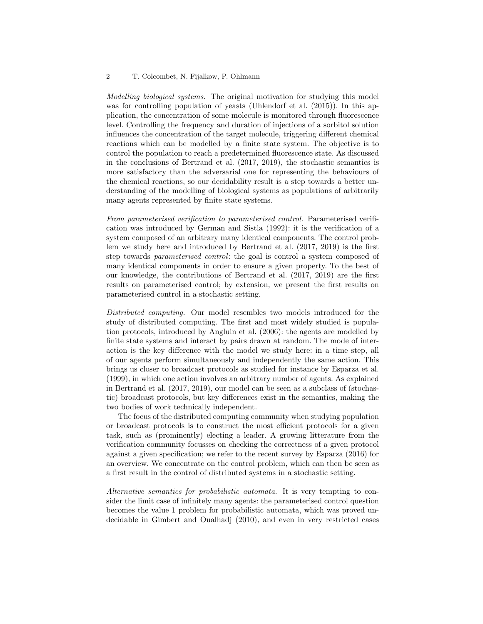Modelling biological systems. The original motivation for studying this model was for controlling population of yeasts [\(Uhlendorf et al.](#page-16-0) [\(2015\)](#page-16-0)). In this application, the concentration of some molecule is monitored through fluorescence level. Controlling the frequency and duration of injections of a sorbitol solution influences the concentration of the target molecule, triggering different chemical reactions which can be modelled by a finite state system. The objective is to control the population to reach a predetermined fluorescence state. As discussed in the conclusions of [Bertrand et al.](#page-15-0) [\(2017,](#page-15-0) [2019\)](#page-15-1), the stochastic semantics is more satisfactory than the adversarial one for representing the behaviours of the chemical reactions, so our decidability result is a step towards a better understanding of the modelling of biological systems as populations of arbitrarily many agents represented by finite state systems.

From parameterised verification to parameterised control. Parameterised verification was introduced by [German and Sistla](#page-15-2) [\(1992\)](#page-15-2): it is the verification of a system composed of an arbitrary many identical components. The control problem we study here and introduced by [Bertrand et al.](#page-15-0) [\(2017,](#page-15-0) [2019\)](#page-15-1) is the first step towards parameterised control: the goal is control a system composed of many identical components in order to ensure a given property. To the best of our knowledge, the contributions of [Bertrand et al.](#page-15-0) [\(2017,](#page-15-0) [2019\)](#page-15-1) are the first results on parameterised control; by extension, we present the first results on parameterised control in a stochastic setting.

Distributed computing. Our model resembles two models introduced for the study of distributed computing. The first and most widely studied is population protocols, introduced by [Angluin et al.](#page-15-3) [\(2006\)](#page-15-3): the agents are modelled by finite state systems and interact by pairs drawn at random. The mode of interaction is the key difference with the model we study here: in a time step, all of our agents perform simultaneously and independently the same action. This brings us closer to broadcast protocols as studied for instance by [Esparza et al.](#page-15-4) [\(1999\)](#page-15-4), in which one action involves an arbitrary number of agents. As explained in [Bertrand et al.](#page-15-0) [\(2017,](#page-15-0) [2019\)](#page-15-1), our model can be seen as a subclass of (stochastic) broadcast protocols, but key differences exist in the semantics, making the two bodies of work technically independent.

The focus of the distributed computing community when studying population or broadcast protocols is to construct the most efficient protocols for a given task, such as (prominently) electing a leader. A growing litterature from the verification community focusses on checking the correctness of a given protocol against a given specification; we refer to the recent survey by [Esparza](#page-15-5) [\(2016\)](#page-15-5) for an overview. We concentrate on the control problem, which can then be seen as a first result in the control of distributed systems in a stochastic setting.

Alternative semantics for probabilistic automata. It is very tempting to consider the limit case of infinitely many agents: the parameterised control question becomes the value 1 problem for probabilistic automata, which was proved undecidable in [Gimbert and Oualhadj](#page-15-6) [\(2010\)](#page-15-6), and even in very restricted cases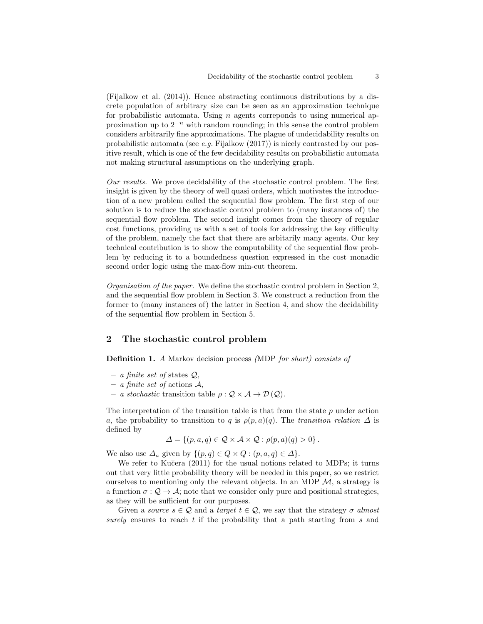[\(Fijalkow et al.](#page-15-7) [\(2014\)](#page-15-7)). Hence abstracting continuous distributions by a discrete population of arbitrary size can be seen as an approximation technique for probabilistic automata. Using  $n$  agents corresponds to using numerical approximation up to  $2^{-n}$  with random rounding; in this sense the control problem considers arbitrarily fine approximations. The plague of undecidability results on probabilistic automata (see  $e.g.$  [Fijalkow](#page-15-8)  $(2017)$ ) is nicely contrasted by our positive result, which is one of the few decidability results on probabilistic automata not making structural assumptions on the underlying graph.

Our results. We prove decidability of the stochastic control problem. The first insight is given by the theory of well quasi orders, which motivates the introduction of a new problem called the sequential flow problem. The first step of our solution is to reduce the stochastic control problem to (many instances of) the sequential flow problem. The second insight comes from the theory of regular cost functions, providing us with a set of tools for addressing the key difficulty of the problem, namely the fact that there are arbitarily many agents. Our key technical contribution is to show the computability of the sequential flow problem by reducing it to a boundedness question expressed in the cost monadic second order logic using the max-flow min-cut theorem.

Organisation of the paper. We define the [stochastic control problem](#page-3-0) in Section [2,](#page-2-0) and the [sequential flow problem](#page-7-0) in Section [3.](#page-5-0) We construct a reduction from the former to (many instances of) the latter in Section [4,](#page-7-1) and show the decidability of the [sequential flow problem](#page-7-0) in Section [5.](#page-10-0)

### <span id="page-2-0"></span>2 The stochastic control problem

<span id="page-2-1"></span>Definition 1. A Markov decision process (MDP for short) consists of

- a finite set of states  $Q$ ,
- $-$  a finite set of actions A,
- a stochastic transition table  $\rho: \mathcal{Q} \times \mathcal{A} \to \mathcal{D}(\mathcal{Q})$ .

The interpretation of the [transition table](#page-2-1) is that from the state  $p$  under action a, the probability to transition to q is  $\rho(p,a)(q)$ . The transition relation  $\Delta$  is defined by

$$
\Delta = \{ (p, a, q) \in \mathcal{Q} \times \mathcal{A} \times \mathcal{Q} : \rho(p, a)(q) > 0 \}.
$$

We also use  $\Delta_a$  given by  $\{(p,q) \in Q \times Q : (p,a,q) \in \Delta\}.$ 

We refer to Kučera [\(2011\)](#page-16-1) for the usual notions related to [MDPs;](#page-2-1) it turns out that very little probability theory will be needed in this paper, so we restrict ourselves to mentioning only the relevant objects. In an [MDP](#page-2-1)  $\mathcal{M}$ , a strategy is a function  $\sigma: \mathcal{Q} \to \mathcal{A}$ ; note that we consider only pure and positional strategies, as they will be sufficient for our purposes.

<span id="page-2-2"></span>Given a source  $s \in \mathcal{Q}$  and a target  $t \in \mathcal{Q}$ , we say that the [strategy](#page-3-1)  $\sigma$  almost surely ensures to reach t if the probability that a path starting from  $s$  and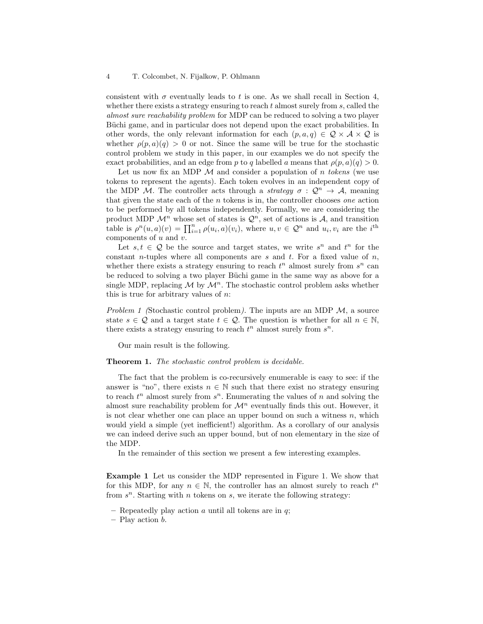consistent with  $\sigma$  eventually leads to t is one. As we shall recall in Section [4,](#page-7-1) whether there exists a strategy ensuring to reach  $t$  almost surely from  $s$ , called the almost sure reachability problem for [MDP](#page-2-1) can be reduced to solving a two player Büchi game, and in particular does not depend upon the exact [probabilities.](#page-2-1) In other words, the only relevant information for each  $(p, a, q) \in \mathcal{Q} \times \mathcal{A} \times \mathcal{Q}$  is whether  $\rho(p, a)(q) > 0$  or not. Since the same will be true for the stochastic control problem we study in this paper, in our examples we do not specify the exact [probabilities,](#page-2-1) and an edge from p to q labelled a means that  $\rho(p, a)(q) > 0$ .

<span id="page-3-1"></span>Let us now fix an [MDP](#page-2-1)  $\mathcal M$  and consider a population of n tokens (we use [tokens](#page-3-1) to represent the agents). Each token evolves in an independent copy of the [MDP](#page-2-1) M. The controller acts through a *strategy*  $\sigma : \mathcal{Q}^n \to \mathcal{A}$ , meaning that given the state each of the  $n$  tokens is in, the controller chooses *one* action to be performed by all tokens independently. Formally, we are considering the product [MDP](#page-2-1)  $\mathcal{M}^n$  whose set of states is  $\mathcal{Q}^n$ , set of actions is A, and [transition](#page-2-1) [table](#page-2-1) is  $\rho^n(u,a)(v) = \prod_{i=1}^n \rho(u_i,a)(v_i)$ , where  $u, v \in \mathcal{Q}^n$  and  $u_i, v_i$  are the  $i^{\text{th}}$ components of  $u$  and  $v$ .

Let  $s, t \in \mathcal{Q}$  be the [source](#page-2-2) and [target](#page-2-2) states, we write  $s^n$  and  $t^n$  for the constant *n*-tuples where all components are s and t. For a fixed value of  $n$ , whether there exists a strategy ensuring to reach  $t^n$  almost surely from  $s^n$  can be reduced to solving a two player Büchi game in the same way as above for a single [MDP,](#page-2-1) replacing  $\mathcal M$  by  $\mathcal M^n$ . The stochastic control problem asks whether this is true for arbitrary values of  $n$ :

<span id="page-3-0"></span>Problem 1 (Stochastic control problem). The inputs are an [MDP](#page-2-1)  $\mathcal{M}$ , a [source](#page-2-2) state  $s \in \mathcal{Q}$  and a [target](#page-2-2) state  $t \in \mathcal{Q}$ . The question is whether for all  $n \in \mathbb{N}$ , there exists a strategy ensuring to reach  $t^n$  almost surely from  $s^n$ .

Our main result is the following.

#### **Theorem 1.** The [stochastic control problem](#page-3-0) is decidable.

The fact that the problem is co-recursively enumerable is easy to see: if the answer is "no", there exists  $n \in \mathbb{N}$  such that there exist no strategy ensuring to reach  $t^n$  almost surely from  $s^n$ . Enumerating the values of n and solving the [almost sure reachability problem](#page-2-2) for  $\mathcal{M}^n$  eventually finds this out. However, it is not clear whether one can place an upper bound on such a witness  $n$ , which would yield a simple (yet inefficient!) algorithm. As a corollary of our analysis we can indeed derive such an upper bound, but of non elementary in the size of the [MDP.](#page-2-1)

In the remainder of this section we present a few interesting examples.

Example 1 Let us consider the [MDP](#page-2-1) represented in Figure [1.](#page-4-0) We show that for this [MDP,](#page-2-1) for any  $n \in \mathbb{N}$ , the controller has an almost surely to reach  $t^n$ from  $s^n$ . Starting with n [tokens](#page-3-1) on s, we iterate the following strategy:

<sup>–</sup> Repeatedly play [action](#page-2-1)  $a$  until all [tokens](#page-3-1) are in  $q$ ;

<sup>–</sup> Play [action](#page-2-1) b.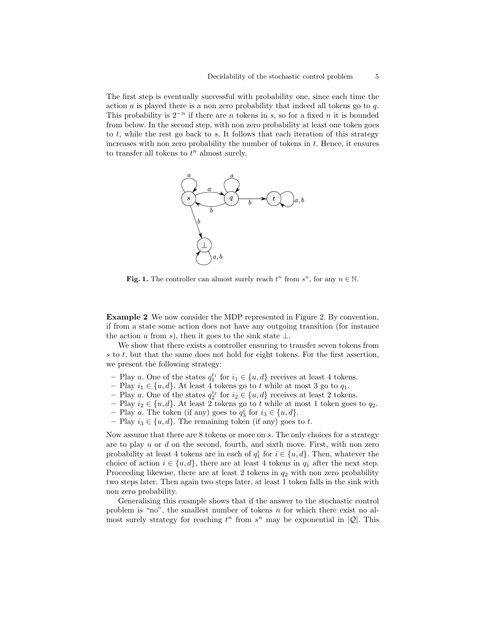The first step is eventually successful with probability one, since each time the action  $\alpha$  is played there is a non zero probability that indeed all tokens go to  $q$ . This probability is  $2^{-n}$  if there are *n* tokens in s, so for a fixed *n* it is bounded from below. In the second step, with non zero probability at least one [token](#page-3-1) goes to  $t$ , while the rest go back to  $s$ . It follows that each iteration of this strategy increases with non zero probability the number of [tokens](#page-3-1) in  $t$ . Hence, it ensures to transfer all tokens to  $t^n$  almost surely.



<span id="page-4-0"></span>Fig. 1. The controller can almost surely reach  $t^n$  from  $s^n$ , for any  $n \in \mathbb{N}$ .

Example 2 We now consider the [MDP](#page-2-1) represented in Figure [2.](#page-5-1) By convention, if from a state some action does not have any outgoing transition (for instance the action u from s), then it goes to the sink state  $\perp$ .

We show that there exists a controller ensuring to transfer seven [tokens](#page-3-1) from s to t, but that the same does not hold for eight [tokens.](#page-3-1) For the first assertion, we present the following strategy:

- Play a. One of the [states](#page-2-1)  $q_1^{i_1}$  for  $i_1 \in \{u, d\}$  receives at least 4 [tokens.](#page-3-1)
- Play  $i_1$  ∈ {u, d}. At least 4 [tokens](#page-3-1) go to t while at most 3 go to  $q_1$ .
- Play a. One of the [states](#page-2-1)  $q_2^{i_2}$  for  $i_2 \in \{u, d\}$  receives at least 2 [tokens.](#page-3-1)
- Play  $i_2 \in \{u, d\}$ . At least 2 [tokens](#page-3-1) go to t while at most 1 [token](#page-3-1) goes to  $q_2$ .
- Play a. The token (if any) goes to  $q_3^i$  for  $i_3 \in \{u, d\}$ .
- Play  $i_3 \in \{u, d\}$ . The remaining token (if any) goes to t.

Now assume that there are 8 [tokens](#page-3-1) or more on s. The only choices for a strategy are to play  $u$  or  $d$  on the second, fourth, and sixth move. First, with non zero probability at least 4 [tokens](#page-3-1) are in each of  $q_1^i$  for  $i \in \{u, d\}$ . Then, whatever the choice of [action](#page-2-1)  $i \in \{u, d\}$ , there are at least 4 [tokens](#page-3-1) in  $q_1$  after the next step. Proceeding likewise, there are at least 2 [tokens](#page-3-1) in  $q_2$  with non zero probability two steps later. Then again two steps later, at least 1 [token](#page-3-1) falls in the sink with non zero probability.

Generalising this example shows that if the answer to the [stochastic control](#page-3-0) [problem](#page-3-0) is "no", the smallest number of [tokens](#page-3-1)  $n$  for which there exist no almost surely strategy for reaching  $t^n$  from  $s^n$  may be exponential in  $|Q|$ . This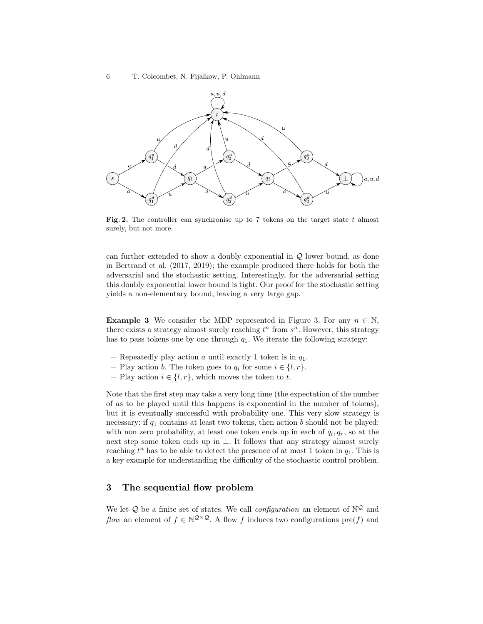

<span id="page-5-1"></span>Fig. 2. The controller can synchronise up to 7 tokens on the target state  $t$  almost surely, but not more.

can further extended to show a doubly exponential in  $Q$  lower bound, as done in [Bertrand et al.](#page-15-0) [\(2017,](#page-15-0) [2019\)](#page-15-1); the example produced there holds for both the adversarial and the stochastic setting. Interestingly, for the adversarial setting this doubly exponential lower bound is tight. Our proof for the stochastic setting yields a non-elementary bound, leaving a very large gap.

**Example 3** We consider the [MDP](#page-2-1) represented in Figure [3.](#page-6-0) For any  $n \in \mathbb{N}$ , there exists a strategy almost surely reaching  $t^n$  from  $s^n$ . However, this strategy has to pass tokens one by one through  $q_1$ . We iterate the following strategy:

- Repeatedly play [action](#page-2-1) a until exactly 1 [token](#page-3-1) is in  $q_1$ .
- Play [action](#page-2-1) b. The [token](#page-3-1) goes to  $q_i$  for some  $i \in \{l, r\}.$
- Play [action](#page-2-1)  $i \in \{l, r\}$ , which moves the [token](#page-3-1) to t.

Note that the first step may take a very long time (the expectation of the number of as to be played until this happens is exponential in the number of [tokens\)](#page-3-1), but it is eventually successful with probability one. This very slow strategy is necessary: if  $q_1$  contains at least two [tokens,](#page-3-1) then action b should not be played: with non zero probability, at least one [token](#page-3-1) ends up in each of  $q_l, q_r$ , so at the next step some [token](#page-3-1) ends up in ⊥. It follows that any strategy almost surely reaching  $t^n$  has to be able to detect the presence of at most 1 [token](#page-3-1) in  $q_1$ . This is a key example for understanding the difficulty of the stochastic control problem.

## <span id="page-5-0"></span>3 The sequential flow problem

<span id="page-5-2"></span>We let  $\mathcal Q$  be a finite set of states. We call *configuration* an element of  $\mathbb N^{\mathcal Q}$  and flow an element of  $f \in \mathbb{N}^{\mathcal{Q}\times\mathcal{Q}}$ . A [flow](#page-5-2) f induces two [configurations](#page-5-2)  $\text{pre}(f)$  and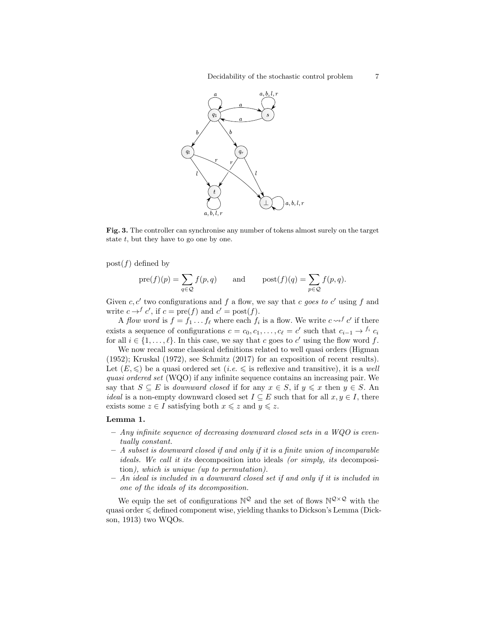

<span id="page-6-0"></span>Fig. 3. The controller can synchronise any number of tokens almost surely on the target state  $t$ , but they have to go one by one.

 $post(f)$  defined by

$$
pre(f)(p) = \sum_{q \in \mathcal{Q}} f(p,q)
$$
 and  $post(f)(q) = \sum_{p \in \mathcal{Q}} f(p,q).$ 

Given c, c' two [configurations](#page-5-2) and f a [flow,](#page-5-2) we say that c goes to c' using f and write  $c \rightarrow^{f} c'$ , if  $c = \text{pre}(f)$  and  $c' = \text{post}(f)$ .

<span id="page-6-1"></span>A flow word is  $f = f_1 \dots f_\ell$  where each  $f_i$  is a [flow.](#page-5-2) We write  $c \leadsto^f c'$  if there exists a sequence of [configurations](#page-5-2)  $c = c_0, c_1, \ldots, c_\ell = c'$  such that  $c_{i-1} \to f_i$   $c_i$ for all  $i \in \{1, \ldots, \ell\}$ . In this case, we say that c goes to c' using the [flow word](#page-6-1) f.

<span id="page-6-2"></span>We now recall some classical definitions related to [well quasi orders](#page-6-2) [\(Higman](#page-16-2) [\(1952\)](#page-16-2); [Kruskal](#page-16-3) [\(1972\)](#page-16-3), see [Schmitz](#page-16-4) [\(2017\)](#page-16-4) for an exposition of recent results). Let  $(E, \leqslant)$  be a quasi ordered set  $(i.e. \leqslant$  is reflexive and transitive), it is a well quasi ordered set [\(WQO\)](#page-6-2) if any infinite sequence contains an increasing pair. We say that  $S \subseteq E$  is *downward closed* if for any  $x \in S$ , if  $y \leq x$  then  $y \in S$ . An *ideal* is a non-empty [downward closed](#page-6-2) set  $I \subseteq E$  such that for all  $x, y \in I$ , there exists some  $z \in I$  satisfying both  $x \leq z$  and  $y \leq z$ .

### <span id="page-6-4"></span>Lemma 1.

- $-$  Any infinite sequence of decreasing [downward closed](#page-6-2) sets in a [WQO](#page-6-2) is eventually constant.
- <span id="page-6-3"></span>– A subset is [downward closed](#page-6-2) if and only if it is a finite union of incomparable [ideals.](#page-6-2) We call it its decomposition into ideals (or simply, its decomposition), which is unique (up to permutation).
- An [ideal](#page-6-2) is included in a [downward closed set](#page-6-2) if and only if it is included in one of the [ideals](#page-6-2) of its [decomposition.](#page-6-3)

We equip the set of [configurations](#page-5-2)  $\mathbb{N}^{\mathcal{Q}}$  and the set of [flows](#page-5-2)  $\mathbb{N}^{\mathcal{Q}\times\mathcal{Q}}$  with the quasi order  $\leq$  defined component wise, yielding thanks to Dickson's Lemma [\(Dick](#page-15-9)[son, 1913\)](#page-15-9) two [WQOs.](#page-6-2)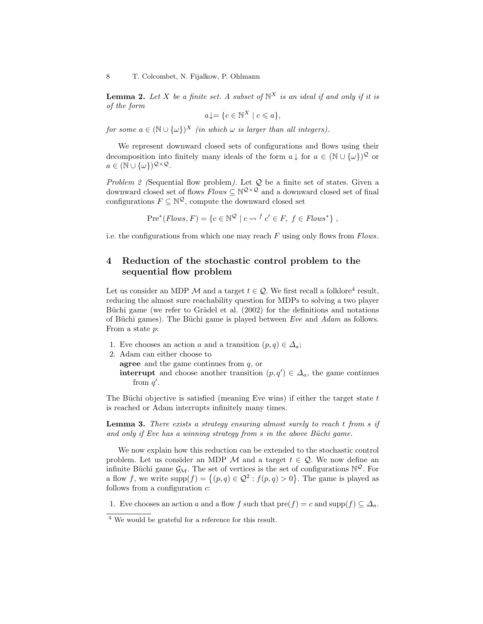**Lemma 2.** Let X be a finite set. A subset of  $\mathbb{N}^X$  is an [ideal](#page-6-2) if and only if it is of the form

$$
a \downarrow = \{ c \in \mathbb{N}^X \mid c \leqslant a \},
$$

for some  $a \in (\mathbb{N} \cup \{\omega\})^X$  (in which  $\omega$  is larger than all integers).

We represent [downward closed sets](#page-6-2) of [configurations](#page-5-2) and [flows](#page-5-2) using their decomposition into finitely many ideals of the form  $a \downarrow$  for  $a \in (\mathbb{N} \cup {\{\omega\}})^{\mathcal{Q}}$  or  $a \in (\mathbb{N} \cup {\{\omega\}})^{\mathcal{Q} \times \mathcal{Q}}.$ 

<span id="page-7-0"></span>Problem 2 (Sequential flow problem). Let  $Q$  be a finite set of states. Given a [downward closed](#page-6-2) set of [flows](#page-5-2)  $Flows \subseteq \mathbb{N}^{\mathcal{Q}\times\mathcal{Q}}$  and a [downward closed](#page-6-2) set of final [configurations](#page-5-2)  $F \subseteq \mathbb{N}^{\mathcal{Q}}$ , compute the [downward closed set](#page-6-2)

 $Pre<sup>*</sup>(Flows, F) = \{c \in \mathbb{N}^{\mathcal{Q}} \mid c \leadsto f \ c' \in F, \ f \in Flows^*\}\,$  $Pre<sup>*</sup>(Flows, F) = \{c \in \mathbb{N}^{\mathcal{Q}} \mid c \leadsto f \ c' \in F, \ f \in Flows^*\}\,$  $Pre<sup>*</sup>(Flows, F) = \{c \in \mathbb{N}^{\mathcal{Q}} \mid c \leadsto f \ c' \in F, \ f \in Flows^*\}\,$ 

i.e. the [configurations](#page-5-2) from which one may reach F using only [flows](#page-5-2) from Flows.

## <span id="page-7-1"></span>4 Reduction of the stochastic control problem to the sequential flow problem

<span id="page-7-3"></span>Let us consider an [MDP](#page-2-1)  $\mathcal M$  and a [target](#page-2-2)  $t \in \mathcal Q$ . We first recall a folklore<sup>[4](#page-7-2)</sup> result, reducing the almost sure reachability question for [MDPs](#page-2-1) to solving a two player Büchi game (we refer to Grädel et al.  $(2002)$  for the definitions and notations of Büchi games). The Büchi game is played between  $Eve$  and  $Adam$  as follows. From a state p:

- 1. [Eve](#page-7-3) chooses an [action](#page-2-1) a and a [transition](#page-2-1)  $(p, q) \in \Delta_a$ ;
- 2. [Adam](#page-7-3) can either choose to

agree and the game continues from  $q$ , or

**interrupt** and choose another [transition](#page-2-1)  $(p, q') \in \Delta_a$ , the game continues from  $q'$ .

The Büchi objective is satisfied (meaning [Eve](#page-7-3) wins) if either the target state  $t$ is reached or [Adam](#page-7-3) interrupts infinitely many times.

<span id="page-7-5"></span>Lemma 3. There exists a strategy ensuring almost surely to reach t from s if and only if [Eve](#page-7-3) has a winning strategy from  $s$  in the above Büchi game.

<span id="page-7-4"></span>We now explain how this reduction can be extended to the stochastic control problem. Let us consider an [MDP](#page-2-1)  $M$  and a [target](#page-2-2)  $t \in \mathcal{Q}$ . We now define an infinite Büchi game  $\mathcal{G}_{\mathcal{M}}$ . The set of vertices is the set of [configurations](#page-5-2)  $\mathbb{N}^{\mathcal{Q}}$ . For a flow f, we write  $supp(f) = \{(p, q) \in \mathcal{Q}^2 : f(p, q) > 0\}$ . The game is played as follows from a [configuration](#page-5-2)  $c$ :

1. [Eve](#page-7-3) chooses an [action](#page-2-1) a and a flow f such that [pre\(](#page-5-2)f) = c and [supp\(](#page-7-4)f)  $\subseteq \Delta_a$ .

<span id="page-7-2"></span><sup>4</sup> We would be grateful for a reference for this result.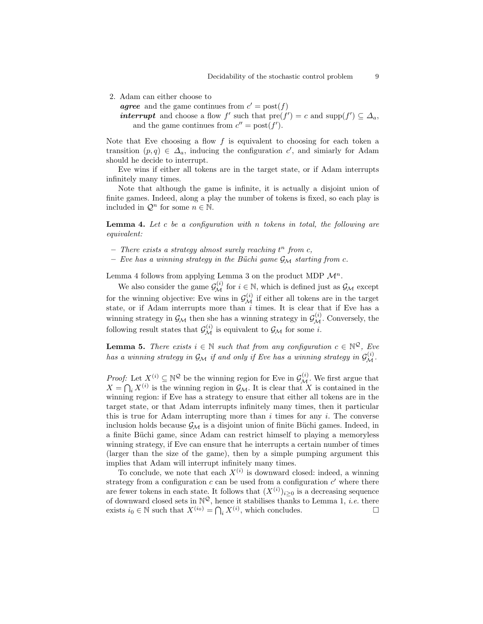<span id="page-8-4"></span>2. [Adam](#page-7-3) can either choose to

<span id="page-8-0"></span>**agree** and the game continues from  $c' = \text{post}(f)$ 

*interrupt* and choose a flow f' such that  $\text{pre}(f') = c$  and  $\text{supp}(f') \subseteq \Delta_a$ , and the game continues from  $c'' = \text{post}(f')$ .

Note that [Eve](#page-7-3) choosing a flow  $f$  is equivalent to choosing for each token a [transition](#page-2-1)  $(p, q) \in \Delta_a$ , inducing the configuration c', and simiarly for Adam should he decide to [interrupt.](#page-8-0)

[Eve](#page-7-3) wins if either all tokens are in the target state, or if [Adam](#page-7-3) interrupts infinitely many times.

Note that although the game is infinite, it is actually a disjoint union of finite games. Indeed, along a play the number of tokens is fixed, so each play is included in  $\mathcal{Q}^n$  for some  $n \in \mathbb{N}$ .

<span id="page-8-1"></span>**Lemma 4.** Let c be a configuration with n tokens in total, the following are equivalent:

- $-$  There exists a strategy almost surely reaching  $t^n$  from c,
- [Eve](#page-7-3) has a winning strategy in the Büchi game  $\mathcal{G}_{\mathcal{M}}$  $\mathcal{G}_{\mathcal{M}}$  $\mathcal{G}_{\mathcal{M}}$  starting from c.

Lemma [4](#page-8-1) follows from applying Lemma [3](#page-7-5) on the product [MDP](#page-2-1)  $\mathcal{M}^n$  $\mathcal{M}^n$  $\mathcal{M}^n$ .

<span id="page-8-2"></span>We also consider the game  $\mathcal{G}_{\mathcal{M}}^{(i)}$  $\mathcal{G}_{\mathcal{M}}^{(i)}$  $\mathcal{G}_{\mathcal{M}}^{(i)}$  for  $i \in \mathbb{N}$ , which is defined just as  $\mathcal{G}_{\mathcal{M}}$  except for the winning objective: [Eve](#page-7-3) wins in  $\mathcal{G}_{\mathcal{M}}^{(i)}$  $\mathcal{G}_{\mathcal{M}}^{(i)}$  $\mathcal{G}_{\mathcal{M}}^{(i)}$  if either all tokens are in the target state, or if [Adam](#page-7-3) [interrupts](#page-8-0) more than  $i$  times. It is clear that if [Eve](#page-7-3) has a winning strategy in  $\mathcal{G}_{\mathcal{M}}$  $\mathcal{G}_{\mathcal{M}}$  $\mathcal{G}_{\mathcal{M}}$  then she has a winning strategy in  $\mathcal{G}_{\mathcal{M}}^{(i)}$ . Conversely, the following result states that  $\mathcal{G}_{\mathcal{M}}^{(i)}$  $\mathcal{G}_{\mathcal{M}}^{(i)}$  $\mathcal{G}_{\mathcal{M}}^{(i)}$  is equivalent to  $\mathcal{G}_{\mathcal{M}}$  for some *i*.

<span id="page-8-3"></span>**Lemma 5.** There exists  $i \in \mathbb{N}$  such that from any [configuration](#page-5-2)  $c \in \mathbb{N}^{\mathcal{Q}}$ , [Eve](#page-7-3) has a winning strategy in  $\mathcal{G}_\mathcal{M}$  $\mathcal{G}_\mathcal{M}$  $\mathcal{G}_\mathcal{M}$  if and only if [Eve](#page-7-3) has a winning strategy in  $\mathcal{G}_\mathcal{M}^{(i)}$ .

*Proof:* Let  $X^{(i)} \subseteq \mathbb{N}^{\mathcal{Q}}$  be the winning region for [Eve](#page-7-3) in  $\mathcal{G}_{\mathcal{M}}^{(i)}$  $\mathcal{G}_{\mathcal{M}}^{(i)}$  $\mathcal{G}_{\mathcal{M}}^{(i)}$ . We first argue that  $X = \bigcap_i X^{(i)}$  is the winning region in  $\mathcal{G}_M$  $\mathcal{G}_M$  $\mathcal{G}_M$ . It is clear that X is contained in the winning region: if [Eve](#page-7-3) has a strategy to ensure that either all tokens are in the target state, or that [Adam](#page-7-3) [interrupts](#page-8-0) infinitely many times, then it particular this is true for Adam interrupting more than  $i$  times for any  $i$ . The converse inclusion holds because  $\mathcal{G}_{\mathcal{M}}$  $\mathcal{G}_{\mathcal{M}}$  $\mathcal{G}_{\mathcal{M}}$  is a disjoint union of finite Büchi games. Indeed, in a finite Büchi game, since [Adam](#page-7-3) can restrict himself to playing a memoryless winning strategy, if [Eve](#page-7-3) can ensure that he [interrupts](#page-8-0) a certain number of times (larger than the size of the game), then by a simple pumping argument this implies that [Adam](#page-7-3) will [interrupt](#page-8-0) infinitely many times.

To conclude, we note that each  $X^{(i)}$  is [downward closed:](#page-6-2) indeed, a winning strategy from a [configuration](#page-5-2)  $c$  can be used from a configuration  $c'$  where there are fewer [tokens](#page-3-1) in each state. It follows that  $(X^{(i)})_{i\geq 0}$  is a decreasing sequence of [downward closed sets](#page-6-2) in  $\mathbb{N}^{\mathcal{Q}}$ , hence it stabilises thanks to Lemma [1,](#page-6-4) *i.e.* there exists  $i_0 \in \mathbb{N}$  such that  $X^{(i_0)} = \bigcap_i X^{(i)}$ , which concludes.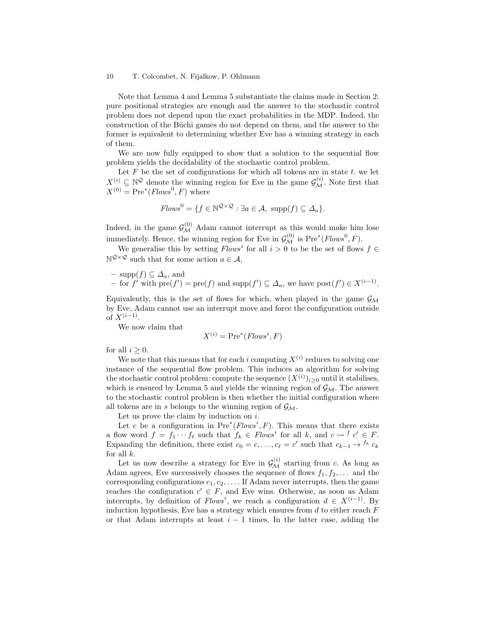Note that Lemma [4](#page-8-1) and Lemma [5](#page-8-3) substantiate the claims made in Section [2:](#page-2-0) pure positional strategies are enough and the answer to the stochastic control problem does not depend upon the exact probabilities in the [MDP.](#page-2-1) Indeed, the construction of the Büchi games do not depend on them, and the answer to the former is equivalent to determining whether [Eve](#page-7-3) has a winning strategy in each of them.

We are now fully equipped to show that a solution to the [sequential flow](#page-7-0) [problem](#page-7-0) yields the decidability of the [stochastic control problem.](#page-3-0)

Let  $F$  be the set of [configurations](#page-5-2) for which all tokens are in [state](#page-2-1)  $t$ . we let  $X^{(i)} \subseteq \mathbb{N}^{\mathcal{Q}}$  denote the winning region for [Eve](#page-7-3) in the game  $\mathcal{G}_{\mathcal{M}}^{(i)}$  $\mathcal{G}_{\mathcal{M}}^{(i)}$  $\mathcal{G}_{\mathcal{M}}^{(i)}$ . Note first that  $X^{(0)} = \text{Pre}^*(Flows^0, F)$  where

$$
Flows^{0} = \{ f \in \mathbb{N}^{\mathcal{Q} \times \mathcal{Q}} : \exists a \in \mathcal{A}, \ \text{supp}(f) \subseteq \Delta_{a} \}.
$$

Indeed, in the game  $\mathcal{G}_{\mathcal{M}}^{(0)}$  $\mathcal{G}_{\mathcal{M}}^{(0)}$  $\mathcal{G}_{\mathcal{M}}^{(0)}$  [Adam](#page-7-3) cannot [interrupt](#page-8-0) as this would make him lose immediately. Hence, the winning region for [Eve](#page-7-3) in  $\mathcal{G}_{\mathcal{M}}^{(0)}$  $\mathcal{G}_{\mathcal{M}}^{(0)}$  $\mathcal{G}_{\mathcal{M}}^{(0)}$  is  $\text{Pre}^*(Flows^0, F)$ .

We generalise this by setting  $Flows^i$  for all  $i > 0$  to be the set of [flows](#page-5-2)  $f \in$  $\mathbb{N}^{\mathcal{Q}\times\mathcal{Q}}$  such that for some [action](#page-2-1)  $a\in\mathcal{A}$ ,

- supp
$$
(f)
$$
  $\subseteq \Delta_a$ , and  
- for  $f'$  with  $pre(f') = pre(f)$  and supp $(f') \subseteq \Delta_a$ , we have  $post(f') \in X^{(i-1)}$ .

Equivalently, this is the set of [flows](#page-5-2) for which, when played in the game  $\mathcal{G}_{\mathcal{M}}$  $\mathcal{G}_{\mathcal{M}}$  $\mathcal{G}_{\mathcal{M}}$ by [Eve, Adam](#page-7-3) cannot use an [interrupt](#page-8-0) move and force the configuration outside of  $X^{(i-1)}$ .

We now claim that

$$
X^{(i)} = \text{Pre}^*(Flows^i, F)
$$

for all  $i \geq 0$ .

We note that this means that for each i computing  $X^{(i)}$  reduces to solving one instance of the sequential flow problem. This induces an algorithm for solving the [stochastic control problem:](#page-3-0) compute the sequence  $(X^{(i)})_{i\geq 0}$  until it stabilises, which is ensured by Lemma [5](#page-8-3) and yields the winning region of  $\mathcal{G}_{\mathcal{M}}$  $\mathcal{G}_{\mathcal{M}}$  $\mathcal{G}_{\mathcal{M}}$ . The answer to the [stochastic control problem](#page-3-0) is then whether the initial configuration where all tokens are in s belongs to the winning region of  $\mathcal{G}_{\mathcal{M}}$  $\mathcal{G}_{\mathcal{M}}$  $\mathcal{G}_{\mathcal{M}}$ .

Let us prove the claim by induction on  $i$ .

Let c be a [configuration](#page-5-2) in  $Pre^*(Flows^i, F)$ . This means that there exists a [flow word](#page-6-1) $f = f_1 \cdots f_\ell$  such that  $f_k \in Flows^i$  for all k, and  $c \leadsto f \ c' \in F$ . Expanding the definition, there exist  $c_0 = c, \ldots, c_\ell = c'$  such that  $c_{k-1} \to f_k c_k$ for all  $k$ .

Let us now describe a strategy for [Eve](#page-7-3) in  $\mathcal{G}_{\mathcal{M}}^{(i)}$  $\mathcal{G}_{\mathcal{M}}^{(i)}$  $\mathcal{G}_{\mathcal{M}}^{(i)}$  starting from c. As long as [Adam](#page-7-3) [agrees,](#page-8-4) [Eve](#page-7-3) successively chooses the sequence of flows  $f_1, f_2, \ldots$  and the corresponding configurations  $c_1, c_2, \ldots$  If [Adam](#page-7-3) never [interrupts,](#page-8-0) then the game reaches the [configuration](#page-5-2)  $c' \in F$ , and [Eve](#page-7-3) wins. Otherwise, as soon as [Adam](#page-7-3) [interrupts,](#page-8-0) by definition of  $Flows^i$ , we reach a [configuration](#page-5-2)  $d \in X^{(i-1)}$ . By induction hypothesis, [Eve](#page-7-3) has a strategy which ensures from  $d$  to either reach  $F$ or that [Adam](#page-7-3) interrupts at least  $i - 1$  times. In the latter case, adding the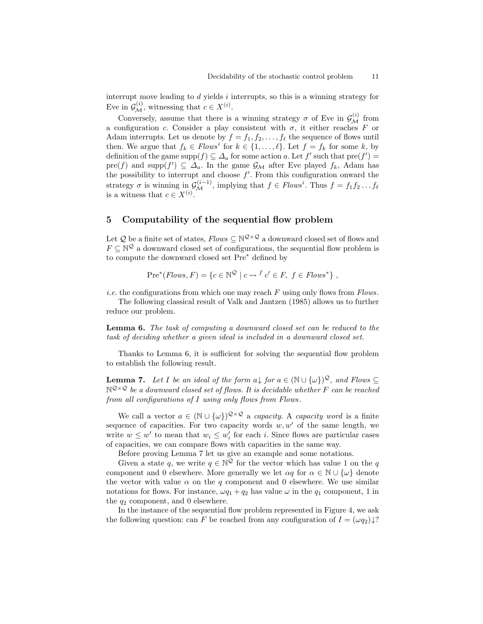[interrupt](#page-8-0) move leading to  $d$  yields  $i$  [interrupts,](#page-8-0) so this is a winning strategy for [Eve](#page-7-3) in  $\mathcal{G}_{\mathcal{M}}^{(i)}$  $\mathcal{G}_{\mathcal{M}}^{(i)}$  $\mathcal{G}_{\mathcal{M}}^{(i)}$ , witnessing that  $c \in X^{(i)}$ .

Conversely, assume that there is a winning strategy  $\sigma$  of [Eve](#page-7-3) in  $\mathcal{G}_{\mathcal{M}}^{(i)}$  $\mathcal{G}_{\mathcal{M}}^{(i)}$  $\mathcal{G}_{\mathcal{M}}^{(i)}$  from a [configuration](#page-5-2) c. Consider a play consistent with  $\sigma$ , it either reaches F or [Adam](#page-7-3) [interrupts.](#page-8-0) Let us denote by  $f = f_1, f_2, \ldots, f_\ell$  the sequence of flows until then. We argue that  $f_k \in Flows^i$  for  $k \in \{1, ..., \ell\}$ . Let  $f = f_k$  for some k, by definition of the game  $\text{supp}(f) \subseteq \Delta_a$  for some [action](#page-2-1) a. Let  $f'$  such that  $\text{pre}(f') =$ [pre\(](#page-5-2)f) and supp $(f') \subseteq \Delta_a$ . In the game  $\mathcal{G}_{\mathcal{M}}$  $\mathcal{G}_{\mathcal{M}}$  $\mathcal{G}_{\mathcal{M}}$  after [Eve](#page-7-3) played  $f_k$ , [Adam](#page-7-3) has the possibility to [interrupt](#page-8-0) and choose  $f'$ . From this configuration onward the strategy  $\sigma$  is winning in  $\mathcal{G}_{\mathcal{M}}^{(i-1)}$  $\mathcal{G}_{\mathcal{M}}^{(i-1)}$  $\mathcal{G}_{\mathcal{M}}^{(i-1)}$ , implying that  $f \in Flows^i$ . Thus  $f = f_1 f_2 \dots f_\ell$ is a witness that  $c \in X^{(i)}$ .

## <span id="page-10-0"></span>5 Computability of the sequential flow problem

Let Q be a finite set of states,  $Flows \subseteq \mathbb{N}^{\mathcal{Q} \times \mathcal{Q}}$  a [downward closed](#page-6-2) set of [flows](#page-5-2) and  $F \subseteq \mathbb{N}^{\mathcal{Q}}$  a [downward closed](#page-6-2) set of [configurations,](#page-5-2) the sequential flow problem is to compute the [downward closed set](#page-6-2) [Pre](#page-7-0)<sup>∗</sup> defined by

$$
Pre^*(Flows, F) = \{ c \in \mathbb{N}^{\mathcal{Q}} \mid c \leadsto f \ c' \in F, \ f \in Flows^* \},
$$

*i.e.* the [configurations](#page-5-2) from which one may reach  $F$  using only [flows](#page-5-2) from [Flows](#page-10-0).

The following classical result of [Valk and Jantzen](#page-16-6) [\(1985\)](#page-16-6) allows us to further reduce our problem.

<span id="page-10-1"></span>Lemma 6. The task of computing a [downward closed](#page-6-2) set can be reduced to the task of deciding whether a given [ideal](#page-6-2) is included in a [downward closed](#page-6-2) set.

Thanks to Lemma [6,](#page-10-1) it is sufficient for solving the [sequential flow problem](#page-7-0) to establish the following result.

<span id="page-10-3"></span>**Lemma 7.** Let I be an [ideal](#page-6-2) of the form  $a \downarrow$  for  $a \in (\mathbb{N} \cup \{\omega\})^{\mathcal{Q}}$ , and [Flows](#page-10-0)  $\subseteq$  $\mathbb{N}^{\mathcal{Q}\times\mathcal{Q}}$  be a [downward closed set](#page-6-2) of [flows.](#page-5-2) It is decidable whether F can be reached from all [configurations](#page-5-2) of I using only [flows](#page-5-2) from [Flows .](#page-10-0)

<span id="page-10-2"></span>We call a vector  $a \in (\mathbb{N} \cup \{\omega\})^{\mathcal{Q} \times \mathcal{Q}}$  a *capacity*. A *capacity word* is a finite sequence of [capacities.](#page-10-2) For two capacity words  $w, w'$  of the same length, we write  $w \leq w'$  to mean that  $w_i \leq w'_i$  for each *i*. Since [flows](#page-5-2) are particular cases of capacities, we can compare [flows](#page-5-2) with [capacities](#page-10-2) in the same way.

Before proving Lemma [7](#page-10-3) let us give an example and some notations.

Given a [state](#page-2-1) q, we write  $q \in \mathbb{N}^{\mathcal{Q}}$  for the vector which has value 1 on the q component and 0 elsewhere. More generally we let  $\alpha q$  for  $\alpha \in \mathbb{N} \cup {\omega}$  denote the vector with value  $\alpha$  on the q component and 0 elsewhere. We use similar notations for [flows.](#page-5-2) For instance,  $\omega q_1 + q_2$  has value  $\omega$  in the  $q_1$  component, 1 in the  $q_2$  component, and 0 elsewhere.

In the instance of the [sequential flow problem](#page-7-0) represented in Figure [4,](#page-11-0) we ask the following question: can F be reached from any [configuration](#page-5-2) of  $I = (\omega q_2) \downarrow ?$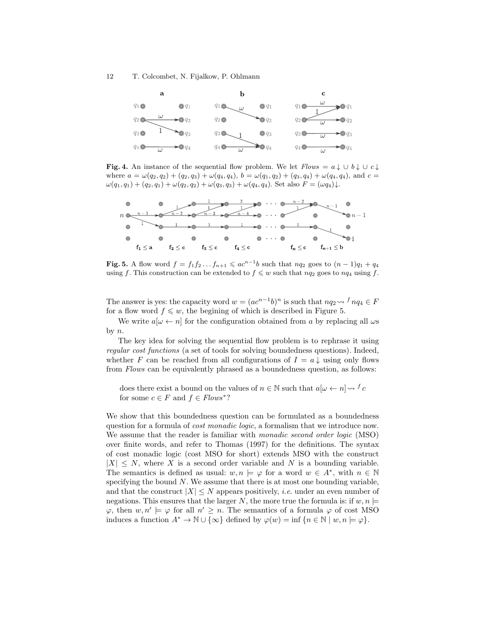

<span id="page-11-0"></span>**Fig. 4.** An instance of the [sequential flow problem.](#page-7-0) We let  $Flows = a \downarrow \cup b \downarrow \cup c \downarrow$  $Flows = a \downarrow \cup b \downarrow \cup c \downarrow$ where  $a = \omega(q_2, q_2) + (q_2, q_3) + \omega(q_4, q_4)$ ,  $b = \omega(q_1, q_2) + (q_3, q_4) + \omega(q_4, q_4)$ , and  $c =$  $\omega(q_1, q_1) + (q_2, q_1) + \omega(q_2, q_2) + \omega(q_3, q_3) + \omega(q_4, q_4)$ . Set also  $F = (\omega q_4) \downarrow$ .



<span id="page-11-1"></span>**Fig. 5.** A [flow word](#page-6-1)  $f = f_1 f_2 \dots f_{n+1} \leqslant ac^{n-1}b$  such that  $nq_2$  [goes to](#page-5-2)  $(n-1)q_1 + q_4$ using f. This construction can be extended to  $f \leq w$  such that  $nq_2$  [goes to](#page-5-2)  $nq_4$  using f.

The answer is yes: the [capacity word](#page-10-2) $w = (ac^{n-1}b)^n$  is such that  $nq_2 \leadsto {^f} nq_4 \in F$ for a [flow word](#page-6-1)  $f \leq w$ , the begining of which is described in Figure [5.](#page-11-1)

We write  $a[\omega \leftarrow n]$  for the [configuration](#page-5-2) obtained from a by replacing all  $\omega s$ by  $n$ .

<span id="page-11-4"></span>The key idea for solving the [sequential flow problem](#page-7-0) is to rephrase it using regular cost functions (a set of tools for solving boundedness questions). Indeed, whether F can be reached from all [configurations](#page-5-2) of  $I = a \downarrow$  using only [flows](#page-5-2) from [Flows](#page-10-0) can be equivalently phrased as a boundedness question, as follows:

doesthere exist a bound on the values of  $n \in \mathbb{N}$  such that  $a[\omega \leftarrow n] \leadsto {f}$ for some  $c \in F$  and  $f \in Flows^*$  $f \in Flows^*$  $f \in Flows^*$ ?

<span id="page-11-3"></span><span id="page-11-2"></span>We show that this boundedness question can be formulated as a [boundedness](#page-12-0) [question](#page-12-0) for a formula of cost monadic logic, a formalism that we introduce now. We assume that the reader is familiar with *monadic second order logic* [\(MSO\)](#page-11-2) over finite words, and refer to [Thomas](#page-16-7) [\(1997\)](#page-16-7) for the definitions. The syntax of [cost monadic logic](#page-11-3) [\(cost MSO](#page-11-3) for short) extends [MSO](#page-11-2) with the construct  $|X| \leq N$ , where X is a second order variable and N is a bounding variable. The semantics is defined as usual:  $w, n \models \varphi$  for a word  $w \in A^*$ , with  $n \in \mathbb{N}$ specifying the bound  $N$ . We assume that there is at most one bounding variable, and that the construct  $|X| \leq N$  appears positively, *i.e.* under an even number of negations. This ensures that the larger N, the more true the formula is: if  $w, n \models$  $\varphi$ , then  $w, n' \models \varphi$  for all  $n' \geq n$ . The semantics of a formula  $\varphi$  of [cost MSO](#page-11-3) induces a function  $A^* \to \mathbb{N} \cup {\infty}$  defined by  $\varphi(w) = \inf \{ n \in \mathbb{N} \mid w, n \models \varphi \}.$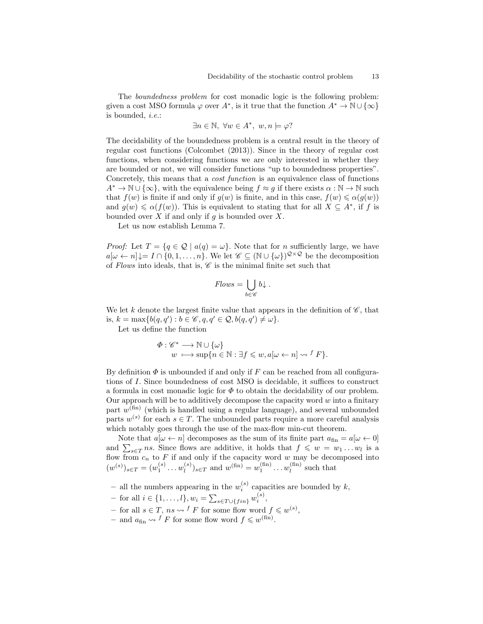<span id="page-12-0"></span>The boundedness problem for [cost monadic logic](#page-11-3) is the following problem: given a cost MSO formula  $\varphi$  over  $A^*$ , is it true that the function  $A^* \to \mathbb{N} \cup {\infty}$ is bounded, i.e.:

$$
\exists n \in \mathbb{N}, \ \forall w \in A^*, \ w, n \models \varphi?
$$

<span id="page-12-2"></span>The decidability of the boundedness problem is a central result in the [theory of](#page-11-4) [regular cost functions](#page-11-4) [\(Colcombet](#page-15-10) [\(2013\)](#page-15-10)). Since in the [theory of regular cost](#page-11-4) [functions,](#page-11-4) when considering functions we are only interested in whether they are bounded or not, we will consider functions "up to boundedness properties". Concretely, this means that a *cost function* is an equivalence class of functions  $A^* \to \mathbb{N} \cup {\infty}$ , with the equivalence being  $f \approx g$  if there exists  $\alpha : \mathbb{N} \to \mathbb{N}$  such that  $f(w)$  is finite if and only if  $g(w)$  is finite, and in this case,  $f(w) \leq \alpha(g(w))$ and  $g(w) \leq \alpha(f(w))$ . This is equivalent to stating that for all  $X \subseteq A^*$ , if f is bounded over  $X$  if and only if  $g$  is bounded over  $X$ .

Let us now establish Lemma [7.](#page-10-3)

*Proof:* Let  $T = \{q \in \mathcal{Q} \mid a(q) = \omega\}$ . Note that for *n* sufficiently large, we have  $a[\omega \leftarrow n] \downarrow = I \cap \{0, 1, \ldots, n\}.$  We let  $\mathscr{C} \subseteq (\mathbb{N} \cup {\{\omega\}})^{\mathcal{Q} \times \mathcal{Q}}$  be the [decomposition](#page-6-3) of [Flows](#page-10-0) into [ideals,](#page-6-2) that is,  $\mathscr C$  is the minimal finite set such that

$$
Flows = \bigcup_{b \in \mathscr{C}} b \downarrow .
$$

We let k denote the largest finite value that appears in the definition of  $\mathscr{C}$ , that is,  $k = \max\{b(q, q') : b \in \mathscr{C}, q, q' \in \mathcal{Q}, b(q, q') \neq \omega\}.$ 

Let us define the function

$$
\Phi: \mathscr{C}^* \longrightarrow \mathbb{N} \cup \{\omega\}
$$
  

$$
w \longmapsto \sup\{n \in \mathbb{N} : \exists f \leqslant w, a[\omega \leftarrow n] \rightsquigarrow f F\}.
$$

By definition  $\Phi$  is unbounded if and only if F can be reached from all configurations of I. Since [boundedness](#page-12-0) of [cost MSO](#page-11-3) is decidable, it suffices to construct a formula in cost monadic logic for  $\Phi$  to obtain the decidability of our problem. Our approach will be to additively decompose the [capacity word](#page-10-2)  $w$  into a finitary part  $w^{(\text{fin})}$  (which is handled using a regular language), and several unbounded parts  $w^{(s)}$  for each  $s \in T$ . The unbounded parts require a more careful analysis which notably goes through the use of the [max-flow min-cut theorem.](#page-13-0)

<span id="page-12-1"></span>Note that  $a[\omega \leftarrow n]$  decomposes as the sum of its finite part  $a_{fin} = a[\omega \leftarrow 0]$ and  $\sum_{s \in T} ns$ . Since [flows](#page-5-2) are additive, it holds that  $f \leqslant w = w_1 \dots w_l$  is a [flow](#page-5-2) from  $c_n$  to F if and only if the [capacity word](#page-10-2) w may be [decomposed](#page-6-3) into  $(w^{(s)})_{s \in T} = (w_1^{(s)} \dots w_l^{(s)})$  $\binom{s}{l}_{s \in T}$  and  $w^{(\text{fin})} = w_1^{(\text{fin})} \dots w_l^{(\text{fin})}$  $\binom{\text{nn}}{l}$  such that

,

– all the numbers appearing in the  $w_i^{(s)}$  [capacities](#page-10-2) are bounded by  $k$ ,

- for all 
$$
i \in \{1, ..., l\}, w_i = \sum_{s \in T \cup \{fin\}} w_i^{(s)}
$$

- -for all  $i \in \{1, ..., l\}$ ,  $w_i = \sum_{s \in T \cup \{fin\}} w_i^{(s)}$ ,<br>
for all  $s \in T$ ,  $ns \leadsto {}^f F$  for some [flow word](#page-6-1)  $f \leq w^{(s)}$ ,
- -and  $a_{fin} \leadsto f$  $a_{fin} \leadsto f$  $a_{fin} \leadsto f$  F for some [flow word](#page-6-1)  $f \leq w^{(fin)}$ .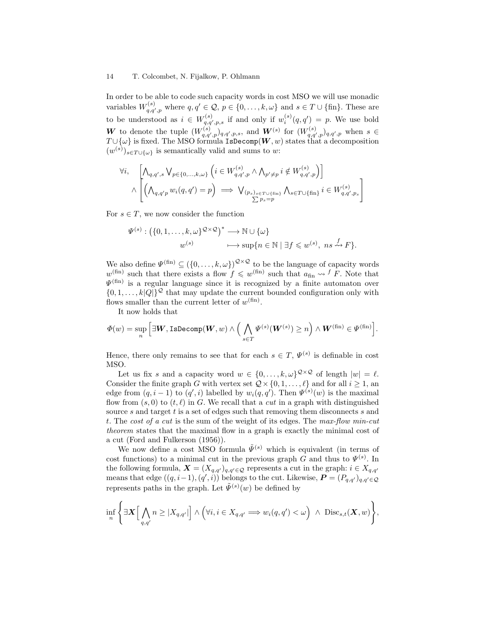In order to be able to code such [capacity words](#page-10-2) in [cost MSO](#page-11-3) we will use monadic variables  $W_{q,q',p}^{(s)}$  where  $q, q' \in \mathcal{Q}, p \in \{0, \ldots, k, \omega\}$  and  $s \in T \cup \{\text{fin}\}.$  These are to be understood as  $i \in W_{q,q',p,s}^{(s)}$  if and only if  $w_i^{(s)}(q,q') = p$ . We use bold W to denote the tuple  $(W_{q,q',p}^{(s)})_{q,q',p,s}$ , and  $W^{(s)}$  for  $(W_{q,q',p}^{(s)})_{q,q',p}$  when  $s \in$  $T\cup \{\omega\}$  is fixed. The [MSO](#page-11-2) formula IsDecomp $(\boldsymbol{W},w)$  states that a decomposition  $(w^{(s)})_{s \in T \cup \{\omega\}}$  is semantically valid and sums to w:

$$
\forall i, \left[\bigwedge_{q,q',s} \bigvee_{p \in \{0,\ldots,k,\omega\}} \left(i \in W_{q,q',p}^{(s)} \land \bigwedge_{p' \neq p} i \notin W_{q,q',p}^{(s)}\right)\right] \land \left[\bigwedge_{q,q'p} \bigwedge_{q' \in Q} \bigvee_{q,q',p} \bigwedge_{p,q \in \mathcal{P} \cup \{\text{fin}\}} \bigwedge_{s \in T \cup \{\text{fin}\}} i \in W_{q,q',p_s}^{(s)}\right]
$$

For  $s \in T$ , we now consider the function

$$
\Psi^{(s)} : (\{0, 1, \ldots, k, \omega\}^{\mathcal{Q} \times \mathcal{Q}})^* \longrightarrow \mathbb{N} \cup \{\omega\} \n w^{(s)} \longrightarrow \sup\{n \in \mathbb{N} \mid \exists f \leq w^{(s)}, \ ns \stackrel{f}{\leadsto} F\}.
$$

We also define  $\Psi^{(\text{fin})} \subseteq (\{0,\ldots,k,\omega\})^{\mathcal{Q}\times\mathcal{Q}}$  to be the language of [capacity words](#page-10-2)  $w^{(\text{fin})}$  $w^{(\text{fin})}$  $w^{(\text{fin})}$  such that there exists a [flow](#page-5-2) $f \leqslant w^{(\text{fin})}$  such that  $a_{\text{fin}} \leadsto f$  F. Note that  $\Psi^{\text{(fin)}}$  is a regular language since it is recognized by a finite automaton over  $\{0, 1, \ldots, k|Q|\}^{\mathcal{Q}}$  that may update the current bounded [configuration](#page-5-2) only with [flows](#page-5-2) smaller than the current letter of  $w^{(\text{fin})}$ .

It now holds that

$$
\varPhi(w)=\sup_n\Big[\exists \boldsymbol{W}, \text{IsDecomp}(\boldsymbol{W},w)\wedge\Big(\bigwedge_{s\in T}\varPsi^{(s)}(\boldsymbol{W}^{(s)})\geq n\Big)\wedge\boldsymbol{W}^{(\text{fin})}\in\varPsi^{(\text{fin})}\Big].
$$

Hence, there only remains to see that for each  $s \in T$ ,  $\Psi^{(s)}$  is definable in [cost](#page-11-3) [MSO.](#page-11-3)

<span id="page-13-0"></span>Let us fix s and a [capacity word](#page-10-2)  $w \in \{0, \ldots, k, \omega\}^{\mathcal{Q} \times \mathcal{Q}}$  of length  $|w| = \ell$ . Consider the finite graph G with vertex set  $\mathcal{Q} \times \{0, 1, \ldots, \ell\}$  and for all  $i \geq 1$ , and edge from  $(q, i - 1)$  to  $(q', i)$  labelled by  $w_i(q, q')$ . Then  $\Psi^{(s)}(w)$  is the maximal [flow](#page-5-2) from  $(s, 0)$  to  $(t, \ell)$  in G. We recall that a cut in a graph with distinguished source s and target t is a set of edges such that removing them disconnects s and t. The cost of a cut is the sum of the weight of its edges. The max-flow min-cut theorem states that the maximal [flow](#page-5-2) in a graph is exactly the minimal [cost of](#page-13-0) [a cut](#page-13-0) [\(Ford and Fulkerson](#page-15-11) [\(1956\)](#page-15-11)).

We now define a cost MSO formula  $\tilde{\Psi}^{(s)}$  which is equivalent (in terms of [cost functions\)](#page-12-2) to a minimal [cut](#page-13-0) in the previous graph G and thus to  $\Psi^{(s)}$ . In the following formula,  $\mathbf{X} = (X_{q,q'})_{q,q'\in\mathcal{Q}}$  represents a cut in the graph:  $i \in X_{q,q'}$ means that edge  $((q, i-1), (q', i))$  belongs to the cut. Likewise,  $P = (P_{q,q'})_{q,q'\in\mathcal{Q}}$ represents paths in the graph. Let  $\tilde{\Psi}^{(s)}(w)$  be defined by

$$
\inf_n \left\{ \exists \mathbf{X} \Big[\bigwedge_{q,q'} n \geq |X_{q,q'}|\Big] \land \left(\forall i, i \in X_{q,q'} \Longrightarrow w_i(q,q') < \omega\right) \land \text{ Disc}_{s,t}(\mathbf{X},w)\right\},\
$$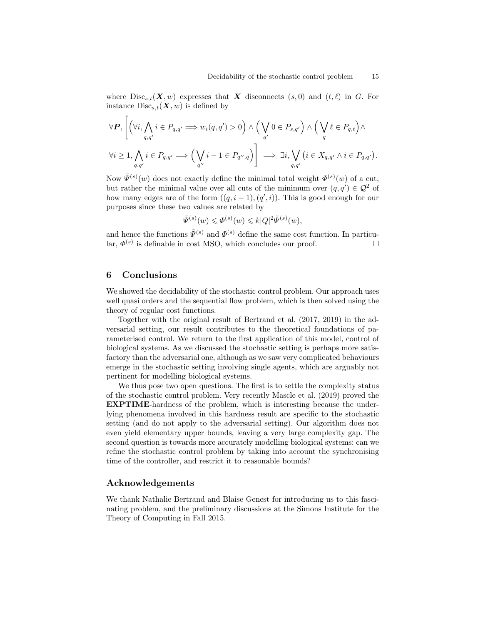where  $Disc_{s,t}(X, w)$  expresses that X disconnects  $(s, 0)$  and  $(t, \ell)$  in G. For instance  $Disc_{s,t}(\boldsymbol{X}, w)$  is defined by

$$
\forall P, \left[ \left( \forall i, \bigwedge_{q,q'} i \in P_{q,q'} \implies w_i(q,q') > 0 \right) \land \left( \bigvee_{q'} 0 \in P_{s,q'} \right) \land \left( \bigvee_{q} \ell \in P_{q,t} \right) \land \right]
$$

$$
\forall i \ge 1, \bigwedge_{q,q'} i \in P_{q,q'} \implies \left( \bigvee_{q''} i - 1 \in P_{q'',q} \right) \right] \implies \exists i, \bigvee_{q,q'} \left( i \in X_{q,q'} \land i \in P_{q,q'} \right).
$$

Now  $\tilde{\Psi}^{(s)}(w)$  does not exactly define the minimal total weight  $\Phi^{(s)}(w)$  of a [cut,](#page-13-0) but rather the minimal value over all [cuts](#page-13-0) of the minimum over  $(q, q') \in \mathcal{Q}^2$  of how many edges are of the form  $((q, i - 1), (q', i))$ . This is good enough for our purposes since these two values are related by

$$
\tilde{\Psi}^{(s)}(w) \leqslant \Phi^{(s)}(w) \leqslant k|Q|^2 \tilde{\Psi}^{(s)}(w),
$$

and hence the functions  $\tilde{\Psi}^{(s)}$  and  $\Phi^{(s)}$  define the same [cost function.](#page-12-2) In particular,  $\Phi^{(s)}$  is definable in [cost MSO,](#page-11-3) which concludes our proof.

### 6 Conclusions

 $\Gamma$ 

We showed the decidability of the stochastic control problem. Our approach uses well quasi orders and the sequential flow problem, which is then solved using the theory of regular cost functions.

Together with the original result of [Bertrand et al.](#page-15-0) [\(2017,](#page-15-0) [2019\)](#page-15-1) in the adversarial setting, our result contributes to the theoretical foundations of parameterised control. We return to the first application of this model, control of biological systems. As we discussed the stochastic setting is perhaps more satisfactory than the adversarial one, although as we saw very complicated behaviours emerge in the stochastic setting involving single agents, which are arguably not pertinent for modelling biological systems.

We thus pose two open questions. The first is to settle the complexity status of the stochastic control problem. Very recently [Mascle et al.](#page-16-8) [\(2019\)](#page-16-8) proved the EXPTIME-hardness of the problem, which is interesting because the underlying phenomena involved in this hardness result are specific to the stochastic setting (and do not apply to the adversarial setting). Our algorithm does not even yield elementary upper bounds, leaving a very large complexity gap. The second question is towards more accurately modelling biological systems: can we refine the stochastic control problem by taking into account the synchronising time of the controller, and restrict it to reasonable bounds?

## Acknowledgements

We thank Nathalie Bertrand and Blaise Genest for introducing us to this fascinating problem, and the preliminary discussions at the Simons Institute for the Theory of Computing in Fall 2015.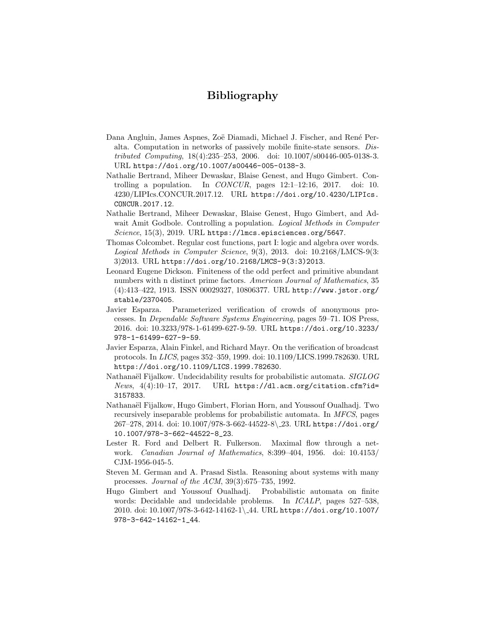# Bibliography

- <span id="page-15-3"></span>Dana Angluin, James Aspnes, Zoë Diamadi, Michael J. Fischer, and René Peralta. Computation in networks of passively mobile finite-state sensors. Distributed Computing, 18(4):235–253, 2006. doi: 10.1007/s00446-005-0138-3. URL <https://doi.org/10.1007/s00446-005-0138-3>.
- <span id="page-15-0"></span>Nathalie Bertrand, Miheer Dewaskar, Blaise Genest, and Hugo Gimbert. Controlling a population. In CONCUR, pages  $12:1-12:16$ ,  $2017$ . doi: 10. 4230/LIPIcs.CONCUR.2017.12. URL [https://doi.org/10.4230/LIPIcs.](https://doi.org/10.4230/LIPIcs.CONCUR.2017.12) [CONCUR.2017.12](https://doi.org/10.4230/LIPIcs.CONCUR.2017.12).
- <span id="page-15-1"></span>Nathalie Bertrand, Miheer Dewaskar, Blaise Genest, Hugo Gimbert, and Adwait Amit Godbole. Controlling a population. *Logical Methods in Computer* Science, 15(3), 2019. URL https://1mcs.episciences.org/5647.
- <span id="page-15-10"></span>Thomas Colcombet. Regular cost functions, part I: logic and algebra over words. Logical Methods in Computer Science, 9(3), 2013. doi: 10.2168/LMCS-9(3: 3)2013. URL [https://doi.org/10.2168/LMCS-9\(3:3\)2013](https://doi.org/10.2168/LMCS-9(3:3)2013).
- <span id="page-15-9"></span>Leonard Eugene Dickson. Finiteness of the odd perfect and primitive abundant numbers with n distinct prime factors. American Journal of Mathematics, 35 (4):413–422, 1913. ISSN 00029327, 10806377. URL [http://www.jstor.org/](http://www.jstor.org/stable/2370405) [stable/2370405](http://www.jstor.org/stable/2370405).
- <span id="page-15-5"></span>Javier Esparza. Parameterized verification of crowds of anonymous processes. In Dependable Software Systems Engineering, pages 59–71. IOS Press, 2016. doi: 10.3233/978-1-61499-627-9-59. URL [https://doi.org/10.3233/](https://doi.org/10.3233/978-1-61499-627-9-59) [978-1-61499-627-9-59](https://doi.org/10.3233/978-1-61499-627-9-59).
- <span id="page-15-4"></span>Javier Esparza, Alain Finkel, and Richard Mayr. On the verification of broadcast protocols. In LICS, pages 352–359, 1999. doi: 10.1109/LICS.1999.782630. URL <https://doi.org/10.1109/LICS.1999.782630>.
- <span id="page-15-8"></span>Nathanaël Fijalkow. Undecidability results for probabilistic automata. SIGLOG  $News, 4(4):10-17, 2017. \quad \text{URL https://dl.acm.org/citation.cfm?id=}$  $News, 4(4):10-17, 2017. \quad \text{URL https://dl.acm.org/citation.cfm?id=}$  $News, 4(4):10-17, 2017. \quad \text{URL https://dl.acm.org/citation.cfm?id=}$ [3157833](https://dl.acm.org/citation.cfm?id=3157833).
- <span id="page-15-7"></span>Nathanaël Fijalkow, Hugo Gimbert, Florian Horn, and Youssouf Oualhadj. Two recursively inseparable problems for probabilistic automata. In MFCS, pages 267–278, 2014. doi: 10.1007/978-3-662-44522-8\ 23. URL [https://doi.org/](https://doi.org/10.1007/978-3-662-44522-8_23) [10.1007/978-3-662-44522-8\\_23](https://doi.org/10.1007/978-3-662-44522-8_23).
- <span id="page-15-11"></span>Lester R. Ford and Delbert R. Fulkerson. Maximal flow through a network. Canadian Journal of Mathematics, 8:399–404, 1956. doi: 10.4153/ CJM-1956-045-5.
- <span id="page-15-2"></span>Steven M. German and A. Prasad Sistla. Reasoning about systems with many processes. Journal of the ACM, 39(3):675–735, 1992.
- <span id="page-15-6"></span>Hugo Gimbert and Youssouf Oualhadj. Probabilistic automata on finite words: Decidable and undecidable problems. In ICALP, pages 527–538, 2010. doi: 10.1007/978-3-642-14162-1\ 44. URL [https://doi.org/10.1007/](https://doi.org/10.1007/978-3-642-14162-1_44) [978-3-642-14162-1\\_44](https://doi.org/10.1007/978-3-642-14162-1_44).